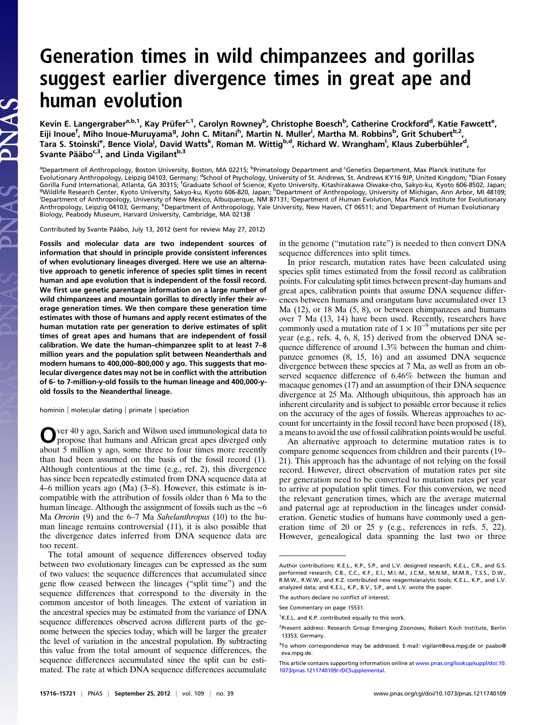# Generation times in wild chimpanzees and gorillas suggest earlier divergence times in great ape and human evolution

Kevin E. Langergraber<sup>a,b,1</sup>, Kay Prüfer<sup>c,1</sup>, Carolyn Rowney<sup>b</sup>, Christophe Boesch<sup>b</sup>, Catherine Crockford<sup>d</sup>, Katie Fawcett<sup>e</sup>, Eiji Inoue<sup>f</sup>, Miho Inoue-Muruyama<sup>g</sup>, John C. Mitani<sup>h</sup>, Martin N. Muller<sup>i</sup>, Martha M. Robbins<sup>b</sup>, Grit Schubert<sup>b,2</sup>, Tara S. Stoinski<sup>e</sup>, Bence Viola<sup>j</sup>, David Watts<sup>k</sup>, Roman M. Wittig<sup>b,d</sup>, Richard W. Wrangham<sup>l</sup>, Klaus Zuberbühler<sup>d</sup>, Svante Pääbo<sup>c,3</sup>, and Linda Vigilant<sup>b,3</sup>

<sup>a</sup>Department of Anthropology, Boston University, Boston, MA 02215; <sup>b</sup>Primatology Department and <sup>c</sup>Genetics Department, Max Planck Institute for<br>Evolutionary Anthropology, Leipzig 04103, Germany; <sup>d</sup>School of Psychology, Gorilla Fund International, Atlanta, GA 30315; <sup>f</sup>Graduate School of Science, Kyoto University, Kitashirakawa Oiwake-cho, Sakyo-ku, Kyoto 606-8502, Japan;<br><sup>9</sup>Wildlife Research Center, Kyoto University, Sakyo-ku, Kyoto 606-.<br>Department of Anthropology, University of New Mexico, Albuquerque, NM 87131; Department of Human Evolution, Max Planck Institute for Evolutionary<br>Anthropology, Leipzig 04103, Germany; <sup>k</sup>Department of Anthropology, Yale Biology, Peabody Museum, Harvard University, Cambridge, MA 02138

Contributed by Svante Pääbo, July 13, 2012 (sent for review May 27, 2012)

Fossils and molecular data are two independent sources of information that should in principle provide consistent inferences of when evolutionary lineages diverged. Here we use an alternative approach to genetic inference of species split times in recent human and ape evolution that is independent of the fossil record. We first use genetic parentage information on a large number of wild chimpanzees and mountain gorillas to directly infer their average generation times. We then compare these generation time estimates with those of humans and apply recent estimates of the human mutation rate per generation to derive estimates of split times of great apes and humans that are independent of fossil calibration. We date the human–chimpanzee split to at least 7–8 million years and the population split between Neanderthals and modern humans to 400,000–800,000 y ago. This suggests that molecular divergence dates may not be in conflict with the attribution of 6- to 7-million-y-old fossils to the human lineage and 400,000-yold fossils to the Neanderthal lineage.

hominin | molecular dating | primate | speciation

Over 40 y ago, Sarich and Wilson used immunological data to propose that humans and African great apes diverged only about 5 million y ago, some three to four times more recently than had been assumed on the basis of the fossil record (1). Although contentious at the time (e.g., ref. 2), this divergence has since been repeatedly estimated from DNA sequence data at 4–6 million years ago (Ma) (3–8). However, this estimate is incompatible with the attribution of fossils older than 6 Ma to the human lineage. Although the assignment of fossils such as the ∼6 Ma *Orrorin* (9) and the 6–7 Ma *Sahelanthropus* (10) to the human lineage remains controversial (11), it is also possible that the divergence dates inferred from DNA sequence data are too recent.

The total amount of sequence differences observed today between two evolutionary lineages can be expressed as the sum of two values: the sequence differences that accumulated since gene flow ceased between the lineages ("split time") and the sequence differences that correspond to the diversity in the common ancestor of both lineages. The extent of variation in the ancestral species may be estimated from the variance of DNA sequence differences observed across different parts of the genome between the species today, which will be larger the greater the level of variation in the ancestral population. By subtracting this value from the total amount of sequence differences, the sequence differences accumulated since the split can be estimated. The rate at which DNA sequence differences accumulate in the genome ("mutation rate") is needed to then convert DNA sequence differences into split times.

In prior research, mutation rates have been calculated using species split times estimated from the fossil record as calibration points. For calculating split times between present-day humans and great apes, calibration points that assume DNA sequence differences between humans and orangutans have accumulated over 13 Ma  $(12)$ , or 18 Ma  $(5, 8)$ , or between chimpanzees and humans over 7 Ma (13, 14) have been used. Recently, researchers have commonly used a mutation rate of  $1 \times 10^{-9}$  mutations per site per year (e.g., refs. 4, 6, 8, 15) derived from the observed DNA sequence difference of around 1.3% between the human and chimpanzee genomes (8, 15, 16) and an assumed DNA sequence divergence between these species at 7 Ma, as well as from an observed sequence difference of 6.46% between the human and macaque genomes (17) and an assumption of their DNA sequence divergence at 25 Ma. Although ubiquitous, this approach has an inherent circularity and is subject to possible error because it relies on the accuracy of the ages of fossils. Whereas approaches to account for uncertainty in the fossil record have been proposed (18), a means to avoid the use of fossil calibration points would be useful.

An alternative approach to determine mutation rates is to compare genome sequences from children and their parents (19– 21). This approach has the advantage of not relying on the fossil record. However, direct observation of mutation rates per site per generation need to be converted to mutation rates per year to arrive at population split times. For this conversion, we need the relevant generation times, which are the average maternal and paternal age at reproduction in the lineages under consideration. Genetic studies of humans have commonly used a generation time of 20 or 25 y (e.g., references in refs. 5, 22). However, genealogical data spanning the last two or three

Author contributions: K.E.L., K.P., S.P., and L.V. designed research; K.E.L., C.R., and G.S. performed research; C.B., C.C., K.F., E.I., M.I.-M., J.C.M., M.N.M., M.M.R., T.S.S., D.W., R.M.W., R.W.W., and K.Z. contributed new reagents/analytic tools; K.E.L., K.P., and L.V. analyzed data; and K.E.L., K.P., B.V., S.P., and L.V. wrote the paper.

The authors declare no conflict of interest.

See Commentary on page 15531.

<sup>&</sup>lt;sup>1</sup>K.E.L. and K.P. contributed equally to this work.

<sup>&</sup>lt;sup>2</sup>Present address: Research Group Emerging Zoonoses, Robert Koch Institute, Berlin 13353, Germany.

<sup>&</sup>lt;sup>3</sup>To whom correspondence may be addressed. E-mail: [vigilant@eva.mpg.de](mailto:vigilant@eva.mpg.de) or [paabo@](mailto:paabo@eva.mpg.de) [eva.mpg.de](mailto:paabo@eva.mpg.de).

This article contains supporting information online at [www.pnas.org/lookup/suppl/doi:10.](http://www.pnas.org/lookup/suppl/doi:10.1073/pnas.1211740109/-/DCSupplemental) [1073/pnas.1211740109/-/DCSupplemental.](http://www.pnas.org/lookup/suppl/doi:10.1073/pnas.1211740109/-/DCSupplemental)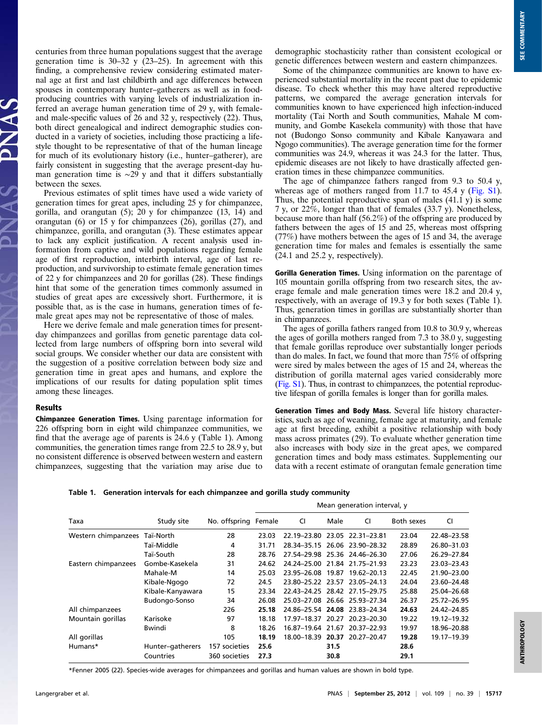centuries from three human populations suggest that the average generation time is  $30-32$  y  $(23-25)$ . In agreement with this finding, a comprehensive review considering estimated maternal age at first and last childbirth and age differences between spouses in contemporary hunter–gatherers as well as in foodproducing countries with varying levels of industrialization inferred an average human generation time of 29 y, with femaleand male-specific values of 26 and 32 y, respectively (22). Thus, both direct genealogical and indirect demographic studies conducted in a variety of societies, including those practicing a lifestyle thought to be representative of that of the human lineage for much of its evolutionary history (i.e., hunter–gatherer), are fairly consistent in suggesting that the average present-day human generation time is  $\sim$ 29 y and that it differs substantially between the sexes.

Previous estimates of split times have used a wide variety of generation times for great apes, including 25 y for chimpanzee, gorilla, and orangutan (5); 20 y for chimpanzee (13, 14) and orangutan (6) or 15 y for chimpanzees (26), gorillas (27), and chimpanzee, gorilla, and orangutan (3). These estimates appear to lack any explicit justification. A recent analysis used information from captive and wild populations regarding female age of first reproduction, interbirth interval, age of last reproduction, and survivorship to estimate female generation times of 22 y for chimpanzees and 20 for gorillas (28). These findings hint that some of the generation times commonly assumed in studies of great apes are excessively short. Furthermore, it is possible that, as is the case in humans, generation times of female great apes may not be representative of those of males.

Here we derive female and male generation times for presentday chimpanzees and gorillas from genetic parentage data collected from large numbers of offspring born into several wild social groups. We consider whether our data are consistent with the suggestion of a positive correlation between body size and generation time in great apes and humans, and explore the implications of our results for dating population split times among these lineages.

#### Results

Chimpanzee Generation Times. Using parentage information for 226 offspring born in eight wild chimpanzee communities, we find that the average age of parents is 24.6 y (Table 1). Among communities, the generation times range from 22.5 to 28.9 y, but no consistent difference is observed between western and eastern chimpanzees, suggesting that the variation may arise due to demographic stochasticity rather than consistent ecological or genetic differences between western and eastern chimpanzees.

Some of the chimpanzee communities are known to have experienced substantial mortality in the recent past due to epidemic disease. To check whether this may have altered reproductive patterns, we compared the average generation intervals for communities known to have experienced high infection-induced mortality (Tai North and South communities, Mahale M community, and Gombe Kasekela community) with those that have not (Budongo Sonso community and Kibale Kanyawara and Ngogo communities). The average generation time for the former communities was 24.9, whereas it was 24.3 for the latter. Thus, epidemic diseases are not likely to have drastically affected generation times in these chimpanzee communities.

The age of chimpanzee fathers ranged from 9.3 to 50.4 y, whereas age of mothers ranged from 11.7 to 45.4 y ([Fig. S1](http://www.pnas.org/lookup/suppl/doi:10.1073/pnas.1211740109/-/DCSupplemental/pnas.201211740SI.pdf?targetid=nameddest=SF1)). Thus, the potential reproductive span of males (41.1 y) is some 7 y, or 22%, longer than that of females (33.7 y). Nonetheless, because more than half (56.2%) of the offspring are produced by fathers between the ages of 15 and 25, whereas most offspring (77%) have mothers between the ages of 15 and 34, the average generation time for males and females is essentially the same (24.1 and 25.2 y, respectively).

Gorilla Generation Times. Using information on the parentage of 105 mountain gorilla offspring from two research sites, the average female and male generation times were 18.2 and 20.4 y, respectively, with an average of 19.3 y for both sexes (Table 1). Thus, generation times in gorillas are substantially shorter than in chimpanzees.

The ages of gorilla fathers ranged from 10.8 to 30.9 y, whereas the ages of gorilla mothers ranged from 7.3 to 38.0 y, suggesting that female gorillas reproduce over substantially longer periods than do males. In fact, we found that more than 75% of offspring were sired by males between the ages of 15 and 24, whereas the distribution of gorilla maternal ages varied considerably more [\(Fig. S1](http://www.pnas.org/lookup/suppl/doi:10.1073/pnas.1211740109/-/DCSupplemental/pnas.201211740SI.pdf?targetid=nameddest=SF1)). Thus, in contrast to chimpanzees, the potential reproductive lifespan of gorilla females is longer than for gorilla males.

Generation Times and Body Mass. Several life history characteristics, such as age of weaning, female age at maturity, and female age at first breeding, exhibit a positive relationship with body mass across primates (29). To evaluate whether generation time also increases with body size in the great apes, we compared generation times and body mass estimates. Supplementing our data with a recent estimate of orangutan female generation time

Table 1. Generation intervals for each chimpanzee and gorilla study community

|                     |                  | No. offspring | Mean generation interval, y |                   |       |                               |            |             |  |
|---------------------|------------------|---------------|-----------------------------|-------------------|-------|-------------------------------|------------|-------------|--|
| Taxa                | Study site       |               | Female                      | CI                | Male  | CI                            | Both sexes | CI          |  |
| Western chimpanzees | Taï-North        | 28            | 23.03                       |                   |       | 22.19-23.80 23.05 22.31-23.81 | 23.04      | 22.48-23.58 |  |
|                     | Taï-Middle       | 4             | 31.71                       |                   |       | 28.34-35.15 26.06 23.90-28.32 | 28.89      | 26.80-31.03 |  |
|                     | Taï-South        | 28            | 28.76                       |                   |       | 27.54-29.98 25.36 24.46-26.30 | 27.06      | 26.29-27.84 |  |
| Eastern chimpanzees | Gombe-Kasekela   | 31            | 24.62                       |                   |       | 24.24-25.00 21.84 21.75-21.93 | 23.23      | 23.03-23.43 |  |
|                     | Mahale-M         | 14            | 25.03                       |                   |       | 23.95-26.08 19.87 19.62-20.13 | 22.45      | 21.90-23.00 |  |
|                     | Kibale-Ngogo     | 72            | 24.5                        |                   |       | 23.80-25.22 23.57 23.05-24.13 | 24.04      | 23.60-24.48 |  |
|                     | Kibale-Kanyawara | 15            | 23.34                       |                   |       | 22.43-24.25 28.42 27.15-29.75 | 25.88      | 25.04-26.68 |  |
|                     | Budongo-Sonso    | 34            | 26.08                       |                   |       | 25.03-27.08 26.66 25.93-27.34 | 26.37      | 25.72-26.95 |  |
| All chimpanzees     |                  | 226           | 25.18                       |                   |       | 24.86-25.54 24.08 23.83-24.34 | 24.63      | 24.42-24.85 |  |
| Mountain gorillas   | Karisoke         | 97            | 18.18                       | 17.97-18.37 20.27 |       | 20.23-20.30                   | 19.22      | 19.12-19.32 |  |
|                     | Bwindi           | 8             | 18.26                       | 16.87–19.64       | 21.67 | 20.37-22.93                   | 19.97      | 18.96-20.88 |  |
| All gorillas        |                  | 105           | 18.19                       | 18.00-18.39 20.37 |       | 20.27-20.47                   | 19.28      | 19.17-19.39 |  |
| Humans*             | Hunter-gatherers | 157 societies | 25.6                        |                   | 31.5  |                               | 28.6       |             |  |
|                     | Countries        | 360 societies | 27.3                        |                   | 30.8  |                               | 29.1       |             |  |

\*Fenner 2005 (22). Species-wide averages for chimpanzees and gorillas and human values are shown in bold type.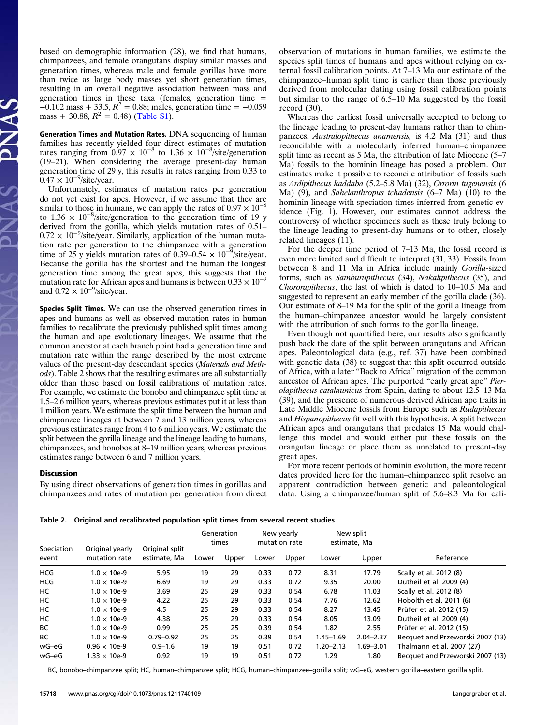based on demographic information (28), we find that humans, chimpanzees, and female orangutans display similar masses and generation times, whereas male and female gorillas have more than twice as large body masses yet short generation times, resulting in an overall negative association between mass and generation times in these taxa (females, generation time =  $-0.102$  mass + 33.5,  $R^2 = 0.88$ ; males, generation time =  $-0.059$ mass + 30.88,  $R^2 = 0.48$ ) ([Table S1\)](http://www.pnas.org/lookup/suppl/doi:10.1073/pnas.1211740109/-/DCSupplemental/pnas.201211740SI.pdf?targetid=nameddest=ST1).

Generation Times and Mutation Rates. DNA sequencing of human families has recently yielded four direct estimates of mutation rates ranging from  $0.97 \times 10^{-8}$  to 1.36 × 10<sup>-8</sup>/site/generation (19–21). When considering the average present-day human generation time of 29 y, this results in rates ranging from 0.33 to  $0.47 \times 10^{-9}$ /site/year.

Unfortunately, estimates of mutation rates per generation do not yet exist for apes. However, if we assume that they are similar to those in humans, we can apply the rates of  $0.97 \times 10^{-8}$ to 1.36  $\times$  10<sup>-8</sup>/site/generation to the generation time of 19 y derived from the gorilla, which yields mutation rates of 0.51– 0.72 × 10−<sup>9</sup> /site/year. Similarly, application of the human mutation rate per generation to the chimpanzee with a generation time of 25 y yields mutation rates of 0.39–0.54  $\times$  10<sup>-9</sup>/site/year. Because the gorilla has the shortest and the human the longest generation time among the great apes, this suggests that the mutation rate for African apes and humans is between  $0.33 \times 10^{-9}$ and  $0.72 \times 10^{-9}$ /site/year.

Species Split Times. We can use the observed generation times in apes and humans as well as observed mutation rates in human families to recalibrate the previously published split times among the human and ape evolutionary lineages. We assume that the common ancestor at each branch point had a generation time and mutation rate within the range described by the most extreme values of the present-day descendant species (Materials and Methods). Table 2 shows that the resulting estimates are all substantially older than those based on fossil calibrations of mutation rates. For example, we estimate the bonobo and chimpanzee split time at 1.5–2.6 million years, whereas previous estimates put it at less than 1 million years. We estimate the split time between the human and chimpanzee lineages at between 7 and 13 million years, whereas previous estimates range from 4 to 6 million years. We estimate the split between the gorilla lineage and the lineage leading to humans, chimpanzees, and bonobos at 8–19 million years, whereas previous estimates range between 6 and 7 million years.

#### Discussion

By using direct observations of generation times in gorillas and chimpanzees and rates of mutation per generation from direct observation of mutations in human families, we estimate the species split times of humans and apes without relying on external fossil calibration points. At 7–13 Ma our estimate of the chimpanzee–human split time is earlier than those previously derived from molecular dating using fossil calibration points but similar to the range of 6.5–10 Ma suggested by the fossil record (30).

Whereas the earliest fossil universally accepted to belong to the lineage leading to present-day humans rather than to chimpanzees, Australopithecus anamensis, is 4.2 Ma (31) and thus reconcilable with a molecularly inferred human–chimpanzee split time as recent as 5 Ma, the attribution of late Miocene (5–7 Ma) fossils to the hominin lineage has posed a problem. Our estimates make it possible to reconcile attribution of fossils such as Ardipithecus kaddaba (5.2–5.8 Ma) (32), Orrorin tugenensis (6 Ma) (9), and Sahelanthropus tchadensis (6–7 Ma) (10) to the hominin lineage with speciation times inferred from genetic evidence (Fig. 1). However, our estimates cannot address the controversy of whether specimens such as these truly belong to the lineage leading to present-day humans or to other, closely related lineages (11).

For the deeper time period of 7–13 Ma, the fossil record is even more limited and difficult to interpret (31, 33). Fossils from between 8 and 11 Ma in Africa include mainly Gorilla-sized forms, such as Samburupithecus (34), Nakalipithecus (35), and Chororapithecus, the last of which is dated to 10–10.5 Ma and suggested to represent an early member of the gorilla clade (36). Our estimate of 8–19 Ma for the split of the gorilla lineage from the human–chimpanzee ancestor would be largely consistent with the attribution of such forms to the gorilla lineage.

Even though not quantified here, our results also significantly push back the date of the split between orangutans and African apes. Paleontological data (e.g., ref. 37) have been combined with genetic data (38) to suggest that this split occurred outside of Africa, with a later "Back to Africa" migration of the common ancestor of African apes. The purported "early great ape" Pierolapithecus catalaunicus from Spain, dating to about 12.5–13 Ma (39), and the presence of numerous derived African ape traits in Late Middle Miocene fossils from Europe such as Rudapithecus and Hispanopithecus fit well with this hypothesis. A split between African apes and orangutans that predates 15 Ma would challenge this model and would either put these fossils on the orangutan lineage or place them as unrelated to present-day great apes.

For more recent periods of hominin evolution, the more recent dates provided here for the human–chimpanzee split resolve an apparent contradiction between genetic and paleontological data. Using a chimpanzee/human split of 5.6–8.3 Ma for cali-

Table 2. Original and recalibrated population split times from several recent studies

| Speciation | Original yearly<br>mutation rate | Original split<br>estimate, Ma | Generation<br>times |       | New yearly<br>mutation rate |       | New split<br>estimate, Ma |               |                                  |  |
|------------|----------------------------------|--------------------------------|---------------------|-------|-----------------------------|-------|---------------------------|---------------|----------------------------------|--|
| event      |                                  |                                | Lower               | Upper | Lower                       | Upper | Lower                     | Upper         | Reference                        |  |
| <b>HCG</b> | $1.0 \times 10e-9$               | 5.95                           | 19                  | 29    | 0.33                        | 0.72  | 8.31                      | 17.79         | Scally et al. 2012 (8)           |  |
| <b>HCG</b> | $1.0 \times 10e-9$               | 6.69                           | 19                  | 29    | 0.33                        | 0.72  | 9.35                      | 20.00         | Dutheil et al. 2009 (4)          |  |
| HC         | $1.0 \times 10e-9$               | 3.69                           | 25                  | 29    | 0.33                        | 0.54  | 6.78                      | 11.03         | Scally et al. 2012 (8)           |  |
| HC         | $1.0 \times 10e-9$               | 4.22                           | 25                  | 29    | 0.33                        | 0.54  | 7.76                      | 12.62         | Hobolth et al. 2011 (6)          |  |
| НC         | $1.0 \times 10e-9$               | 4.5                            | 25                  | 29    | 0.33                        | 0.54  | 8.27                      | 13.45         | Prüfer et al. 2012 (15)          |  |
| HC         | $1.0 \times 10e-9$               | 4.38                           | 25                  | 29    | 0.33                        | 0.54  | 8.05                      | 13.09         | Dutheil et al. 2009 (4)          |  |
| BC         | $1.0 \times 10e-9$               | 0.99                           | 25                  | 25    | 0.39                        | 0.54  | 1.82                      | 2.55          | Prüfer et al. 2012 (15)          |  |
| BC         | $1.0 \times 10e-9$               | $0.79 - 0.92$                  | 25                  | 25    | 0.39                        | 0.54  | $1.45 - 1.69$             | $2.04 - 2.37$ | Becquet and Przeworski 2007 (13) |  |
| wG-eG      | $0.96 \times 10e-9$              | $0.9 - 1.6$                    | 19                  | 19    | 0.51                        | 0.72  | $1.20 - 2.13$             | $1.69 - 3.01$ | Thalmann et al. 2007 (27)        |  |
| wG-eG      | $1.33 \times 10e-9$              | 0.92                           | 19                  | 19    | 0.51                        | 0.72  | 1.29                      | 1.80          | Becquet and Przeworski 2007 (13) |  |
|            |                                  |                                |                     |       |                             |       |                           |               |                                  |  |

BC, bonobo–chimpanzee split; HC, human–chimpanzee split; HCG, human–chimpanzee–gorilla split; wG–eG, western gorilla–eastern gorilla split.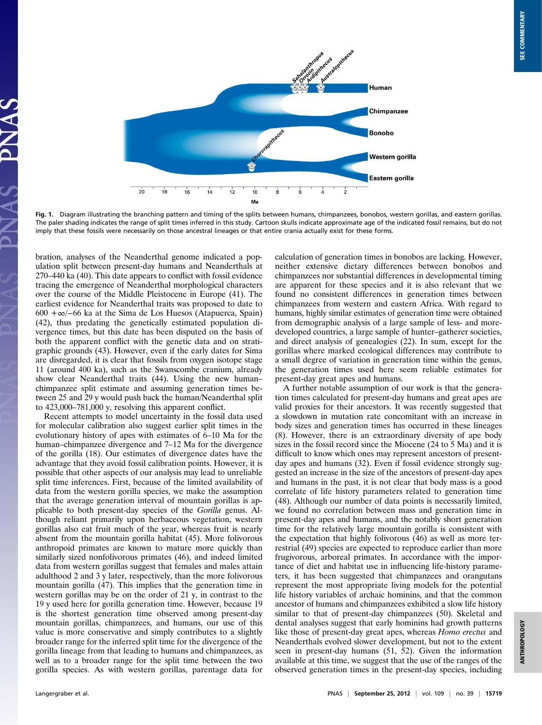

Fig. 1. Diagram illustrating the branching pattern and timing of the splits between humans, chimpanzees, bonobos, western gorillas, and eastern gorillas. The paler shading indicates the range of split times inferred in this study. Cartoon skulls indicate approximate age of the indicated fossil remains, but do not imply that these fossils were necessarily on those ancestral lineages or that entire crania actually exist for these forms.

bration, analyses of the Neanderthal genome indicated a population split between present-day humans and Neanderthals at 270–440 ka (40). This date appears to conflict with fossil evidence tracing the emergence of Neanderthal morphological characters over the course of the Middle Pleistocene in Europe (41). The earliest evidence for Neanderthal traits was proposed to date to 600 +∞/−66 ka at the Sima de Los Huesos (Atapuerca, Spain) (42), thus predating the genetically estimated population divergence times, but this date has been disputed on the basis of both the apparent conflict with the genetic data and on stratigraphic grounds (43). However, even if the early dates for Sima are disregarded, it is clear that fossils from oxygen isotope stage 11 (around 400 ka), such as the Swanscombe cranium, already show clear Neanderthal traits (44). Using the new human– chimpanzee split estimate and assuming generation times between 25 and 29 y would push back the human/Neanderthal split to 423,000–781,000 y, resolving this apparent conflict.

Recent attempts to model uncertainty in the fossil data used for molecular calibration also suggest earlier split times in the evolutionary history of apes with estimates of 6–10 Ma for the human–chimpanzee divergence and 7–12 Ma for the divergence of the gorilla (18). Our estimates of divergence dates have the advantage that they avoid fossil calibration points. However, it is possible that other aspects of our analysis may lead to unreliable split time inferences. First, because of the limited availability of data from the western gorilla species, we make the assumption that the average generation interval of mountain gorillas is applicable to both present-day species of the Gorilla genus. Although reliant primarily upon herbaceous vegetation, western gorillas also eat fruit much of the year, whereas fruit is nearly absent from the mountain gorilla habitat (45). More folivorous anthropoid primates are known to mature more quickly than similarly sized nonfolivorous primates (46), and indeed limited data from western gorillas suggest that females and males attain adulthood 2 and 3 y later, respectively, than the more folivorous mountain gorilla (47). This implies that the generation time in western gorillas may be on the order of 21 y, in contrast to the 19 y used here for gorilla generation time. However, because 19 is the shortest generation time observed among present-day mountain gorillas, chimpanzees, and humans, our use of this value is more conservative and simply contributes to a slightly broader range for the inferred split time for the divergence of the gorilla lineage from that leading to humans and chimpanzees, as well as to a broader range for the split time between the two gorilla species. As with western gorillas, parentage data for calculation of generation times in bonobos are lacking. However, neither extensive dietary differences between bonobos and chimpanzees nor substantial differences in developmental timing are apparent for these species and it is also relevant that we found no consistent differences in generation times between chimpanzees from western and eastern Africa. With regard to humans, highly similar estimates of generation time were obtained from demographic analysis of a large sample of less- and moredeveloped countries, a large sample of hunter–gatherer societies, and direct analysis of genealogies (22). In sum, except for the gorillas where marked ecological differences may contribute to a small degree of variation in generation time within the genus, the generation times used here seem reliable estimates for present-day great apes and humans.

A further notable assumption of our work is that the generation times calculated for present-day humans and great apes are valid proxies for their ancestors. It was recently suggested that a slowdown in mutation rate concomitant with an increase in body sizes and generation times has occurred in these lineages (8). However, there is an extraordinary diversity of ape body sizes in the fossil record since the Miocene (24 to 5 Ma) and it is difficult to know which ones may represent ancestors of presentday apes and humans (32). Even if fossil evidence strongly suggested an increase in the size of the ancestors of present-day apes and humans in the past, it is not clear that body mass is a good correlate of life history parameters related to generation time (48). Although our number of data points is necessarily limited, we found no correlation between mass and generation time in present-day apes and humans, and the notably short generation time for the relatively large mountain gorilla is consistent with the expectation that highly folivorous (46) as well as more terrestrial (49) species are expected to reproduce earlier than more frugivorous, arboreal primates. In accordance with the importance of diet and habitat use in influencing life-history parameters, it has been suggested that chimpanzees and orangutans represent the most appropriate living models for the potential life history variables of archaic hominins, and that the common ancestor of humans and chimpanzees exhibited a slow life history similar to that of present-day chimpanzees (50). Skeletal and dental analyses suggest that early hominins had growth patterns like those of present-day great apes, whereas *Homo erectus* and Neanderthals evolved slower development, but not to the extent seen in present-day humans (51, 52). Given the information available at this time, we suggest that the use of the ranges of the observed generation times in the present-day species, including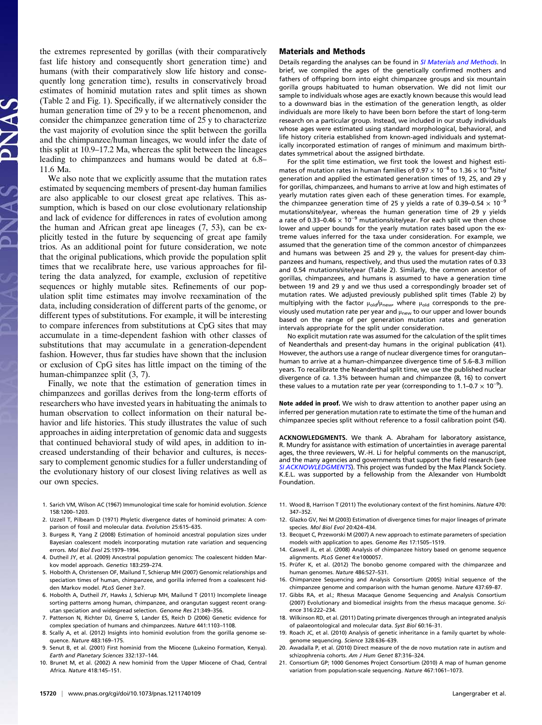the extremes represented by gorillas (with their comparatively fast life history and consequently short generation time) and humans (with their comparatively slow life history and consequently long generation time), results in conservatively broad estimates of hominid mutation rates and split times as shown (Table 2 and Fig. 1). Specifically, if we alternatively consider the human generation time of 29 y to be a recent phenomenon, and consider the chimpanzee generation time of 25 y to characterize the vast majority of evolution since the split between the gorilla and the chimpanzee/human lineages, we would infer the date of this split at 10.9–17.2 Ma, whereas the split between the lineages leading to chimpanzees and humans would be dated at 6.8– 11.6 Ma.

We also note that we explicitly assume that the mutation rates estimated by sequencing members of present-day human families are also applicable to our closest great ape relatives. This assumption, which is based on our close evolutionary relationship and lack of evidence for differences in rates of evolution among the human and African great ape lineages (7, 53), can be explicitly tested in the future by sequencing of great ape family trios. As an additional point for future consideration, we note that the original publications, which provide the population split times that we recalibrate here, use various approaches for filtering the data analyzed, for example, exclusion of repetitive sequences or highly mutable sites. Refinements of our population split time estimates may involve reexamination of the data, including consideration of different parts of the genome, or different types of substitutions. For example, it will be interesting to compare inferences from substitutions at CpG sites that may accumulate in a time-dependent fashion with other classes of substitutions that may accumulate in a generation-dependent fashion. However, thus far studies have shown that the inclusion or exclusion of CpG sites has little impact on the timing of the human-chimpanzee split (3, 7).

Finally, we note that the estimation of generation times in chimpanzees and gorillas derives from the long-term efforts of researchers who have invested years in habituating the animals to human observation to collect information on their natural behavior and life histories. This study illustrates the value of such approaches in aiding interpretation of genomic data and suggests that continued behavioral study of wild apes, in addition to increased understanding of their behavior and cultures, is necessary to complement genomic studies for a fuller understanding of the evolutionary history of our closest living relatives as well as our own species.

- 1. Sarich VM, Wilson AC (1967) Immunological time scale for hominid evolution. Science 158:1200–1203.
- 2. Uzzell T, Pilbeam D (1971) Phyletic divergence dates of hominoid primates: A comparison of fossil and molecular data. Evolution 25:615–635.
- 3. Burgess R, Yang Z (2008) Estimation of hominoid ancestral population sizes under Bayesian coalescent models incorporating mutation rate variation and sequencing errors. Mol Biol Evol 25:1979–1994.
- 4. Dutheil JY, et al. (2009) Ancestral population genomics: The coalescent hidden Markov model approach. Genetics 183:259–274.
- 5. Hobolth A, Christensen OF, Mailund T, Schierup MH (2007) Genomic relationships and speciation times of human, chimpanzee, and gorilla inferred from a coalescent hidden Markov model. PLoS Genet 3:e7.
- 6. Hobolth A, Dutheil JY, Hawks J, Schierup MH, Mailund T (2011) Incomplete lineage sorting patterns among human, chimpanzee, and orangutan suggest recent orangutan speciation and widespread selection. Genome Res 21:349–356.
- 7. Patterson N, Richter DJ, Gnerre S, Lander ES, Reich D (2006) Genetic evidence for complex speciation of humans and chimpanzees. Nature 441:1103–1108.
- 8. Scally A, et al. (2012) Insights into hominid evolution from the gorilla genome sequence. Nature 483:169–175.
- 9. Senut B, et al. (2001) First hominid from the Miocene (Lukeino Formation, Kenya). Earth and Planetary Sciences 332:137–144.
- 10. Brunet M, et al. (2002) A new hominid from the Upper Miocene of Chad, Central Africa. Nature 418:145–151.

### Materials and Methods

Details regarding the analyses can be found in [SI Materials and Methods](http://www.pnas.org/lookup/suppl/doi:10.1073/pnas.1211740109/-/DCSupplemental/pnas.201211740SI.pdf?targetid=nameddest=STXT). In brief, we compiled the ages of the genetically confirmed mothers and fathers of offspring born into eight chimpanzee groups and six mountain gorilla groups habituated to human observation. We did not limit our sample to individuals whose ages are exactly known because this would lead to a downward bias in the estimation of the generation length, as older individuals are more likely to have been born before the start of long-term research on a particular group. Instead, we included in our study individuals whose ages were estimated using standard morphological, behavioral, and life history criteria established from known-aged individuals and systematically incorporated estimation of ranges of minimum and maximum birthdates symmetrical about the assigned birthdate.

For the split time estimation, we first took the lowest and highest estimates of mutation rates in human families of 0.97  $\times$  10<sup>-8</sup> to 1.36  $\times$  10<sup>-8</sup>/site/ generation and applied the estimated generation times of 19, 25, and 29 y for gorillas, chimpanzees, and humans to arrive at low and high estimates of yearly mutation rates given each of these generation times. For example, the chimpanzee generation time of 25 y yields a rate of 0.39–0.54  $\times$  10<sup>-9</sup> mutations/site/year, whereas the human generation time of 29 y yields a rate of 0.33–0.46  $\times$  10<sup>-9</sup> mutations/site/year. For each split we then chose lower and upper bounds for the yearly mutation rates based upon the extreme values inferred for the taxa under consideration. For example, we assumed that the generation time of the common ancestor of chimpanzees and humans was between 25 and 29 y, the values for present-day chimpanzees and humans, respectively, and thus used the mutation rates of 0.33 and 0.54 mutations/site/year (Table 2). Similarly, the common ancestor of gorillas, chimpanzees, and humans is assumed to have a generation time between 19 and 29 y and we thus used a correspondingly broader set of mutation rates. We adjusted previously published split times (Table 2) by multiplying with the factor  $\mu_{old}/\mu_{new}$ , where  $\mu_{old}$  corresponds to the previously used mutation rate per year and  $\mu_{new}$  to our upper and lower bounds based on the range of per generation mutation rates and generation intervals appropriate for the split under consideration.

No explicit mutation rate was assumed for the calculation of the split times of Neanderthals and present-day humans in the original publication (41). However, the authors use a range of nuclear divergence times for orangutan– human to arrive at a human–chimpanzee divergence time of 5.6–8.3 million years. To recalibrate the Neanderthal split time, we use the published nuclear divergence of ca. 1.3% between human and chimpanzee (8, 16) to convert these values to a mutation rate per year (corresponding to 1.1–0.7  $\times$  10<sup>-9</sup>).

Note added in proof. We wish to draw attention to another paper using an inferred per generation mutation rate to estimate the time of the human and chimpanzee species split without reference to a fossil calibration point (54).

ACKNOWLEDGMENTS. We thank A. Abraham for laboratory assistance, R. Mundry for assistance with estimation of uncertainties in average parental ages, the three reviewers, W.-H. Li for helpful comments on the manuscript, and the many agencies and governments that support the field research (see [SI ACKNOWLEDGMENTS](http://www.pnas.org/lookup/suppl/doi:10.1073/pnas.1211740109/-/DCSupplemental/pnas.201211740SI.pdf?targetid=nameddest=STXT)). This project was funded by the Max Planck Society. K.E.L. was supported by a fellowship from the Alexander von Humboldt Foundation.

- 11. Wood B, Harrison T (2011) The evolutionary context of the first hominins. Nature 470: 347–352.
- 12. Glazko GV, Nei M (2003) Estimation of divergence times for major lineages of primate species. Mol Biol Evol 20:424–434.
- 13. Becquet C, Przeworski M (2007) A new approach to estimate parameters of speciation models with application to apes. Genome Res 17:1505–1519.
- 14. Caswell JL, et al. (2008) Analysis of chimpanzee history based on genome sequence alignments. PLoS Genet 4:e1000057.
- 15. Prüfer K, et al. (2012) The bonobo genome compared with the chimpanzee and human genomes. Nature 486:527–531.
- 16. Chimpanzee Sequencing and Analysis Consortium (2005) Initial sequence of the chimpanzee genome and comparison with the human genome. Nature 437:69–87.
- 17. Gibbs RA, et al.; Rhesus Macaque Genome Sequencing and Analysis Consortium (2007) Evolutionary and biomedical insights from the rhesus macaque genome. Science 316:222–234.
- 18. Wilkinson RD, et al. (2011) Dating primate divergences through an integrated analysis of palaeontological and molecular data. Syst Biol 60:16–31.
- 19. Roach JC, et al. (2010) Analysis of genetic inheritance in a family quartet by wholegenome sequencing. Science 328:636–639.
- 20. Awadalla P, et al. (2010) Direct measure of the de novo mutation rate in autism and schizophrenia cohorts. Am J Hum Genet 87:316–324.
- 21. Consortium GP; 1000 Genomes Project Consortium (2010) A map of human genome variation from population-scale sequencing. Nature 467:1061–1073.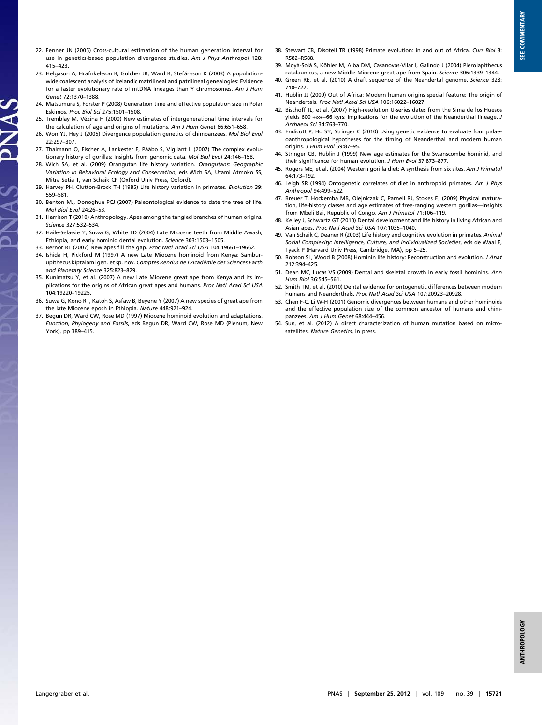- 22. Fenner JN (2005) Cross-cultural estimation of the human generation interval for use in genetics-based population divergence studies. Am J Phys Anthropol 128: 415–423.
- 23. Helgason A, Hrafnkelsson B, Gulcher JR, Ward R, Stefánsson K (2003) A populationwide coalescent analysis of Icelandic matrilineal and patrilineal genealogies: Evidence for a faster evolutionary rate of mtDNA lineages than Y chromosomes. Am J Hum Genet 72:1370–1388.
- 24. Matsumura S, Forster P (2008) Generation time and effective population size in Polar Eskimos. Proc Biol Sci 275:1501–1508.
- 25. Tremblay M, Vézina H (2000) New estimates of intergenerational time intervals for the calculation of age and origins of mutations. Am J Hum Genet 66:651–658.
- 26. Won YJ, Hey J (2005) Divergence population genetics of chimpanzees. Mol Biol Evol 22:297–307.
- 27. Thalmann O, Fischer A, Lankester F, Pääbo S, Vigilant L (2007) The complex evolutionary history of gorillas: Insights from genomic data. Mol Biol Evol 24:146–158.
- 28. Wich SA, et al. (2009) Orangutan life history variation. Orangutans: Geographic Variation in Behavioral Ecology and Conservation, eds Wich SA, Utami Atmoko SS, Mitra Setia T, van Schaik CP (Oxford Univ Press, Oxford).
- 29. Harvey PH, Clutton-Brock TH (1985) Life history variation in primates. Evolution 39: 559–581.
- 30. Benton MJ, Donoghue PCJ (2007) Paleontological evidence to date the tree of life. Mol Biol Evol 24:26–53.
- 31. Harrison T (2010) Anthropology. Apes among the tangled branches of human origins. Science 327:532–534.
- 32. Haile-Selassie Y, Suwa G, White TD (2004) Late Miocene teeth from Middle Awash, Ethiopia, and early hominid dental evolution. Science 303:1503–1505.
- 33. Bernor RL (2007) New apes fill the gap. Proc Natl Acad Sci USA 104:19661–19662.
- 34. Ishida H, Pickford M (1997) A new Late Miocene hominoid from Kenya: Samburupithecus kiptalami gen. et sp. nov. Comptes Rendus de l'Académie des Sciences Earth and Planetary Science 325:823–829.
- 35. Kunimatsu Y, et al. (2007) A new Late Miocene great ape from Kenya and its implications for the origins of African great apes and humans. Proc Natl Acad Sci USA 104:19220–19225.
- 36. Suwa G, Kono RT, Katoh S, Asfaw B, Beyene Y (2007) A new species of great ape from the late Miocene epoch in Ethiopia. Nature 448:921–924.
- 37. Begun DR, Ward CW, Rose MD (1997) Miocene hominoid evolution and adaptations. Function, Phylogeny and Fossils, eds Begun DR, Ward CW, Rose MD (Plenum, New York), pp 389–415.
- 38. Stewart CB, Disotell TR (1998) Primate evolution: in and out of Africa. Curr Biol 8: R582–R588.
- 39. Moyà-Solà S, Köhler M, Alba DM, Casanovas-Vilar I, Galindo J (2004) Pierolapithecus catalaunicus, a new Middle Miocene great ape from Spain. Science 306:1339–1344.
- 40. Green RE, et al. (2010) A draft sequence of the Neandertal genome. Science 328: 710–722.
- 41. Hublin JJ (2009) Out of Africa: Modern human origins special feature: The origin of Neandertals. Proc Natl Acad Sci USA 106:16022–16027.
- 42. Bischoff JL, et al. (2007) High-resolution U-series dates from the Sima de los Huesos yields 600 +∞/−66 kyrs: Implications for the evolution of the Neanderthal lineage. J Archaeol Sci 34:763–770.
- 43. Endicott P, Ho SY, Stringer C (2010) Using genetic evidence to evaluate four palaeoanthropological hypotheses for the timing of Neanderthal and modern human origins. J Hum Evol 59:87–95.
- 44. Stringer CB, Hublin J (1999) New age estimates for the Swanscombe hominid, and their significance for human evolution. J Hum Evol 37:873–877.
- 45. Rogers ME, et al. (2004) Western gorilla diet: A synthesis from six sites. Am J Primatol 64:173–192.
- 46. Leigh SR (1994) Ontogenetic correlates of diet in anthropoid primates. Am J Phys Anthropol 94:499–522.
- 47. Breuer T, Hockemba MB, Olejniczak C, Parnell RJ, Stokes EJ (2009) Physical maturation, life-history classes and age estimates of free-ranging western gorillas—insights from Mbeli Bai, Republic of Congo. Am J Primatol 71:106–119.
- 48. Kelley J, Schwartz GT (2010) Dental development and life history in living African and Asian apes. Proc Natl Acad Sci USA 107:1035–1040.
- 49. Van Schaik C, Deaner R (2003) Life history and cognitive evolution in primates. Animal Social Complexity: Intelligence, Culture, and Individualized Societies, eds de Waal F, Tyack P (Harvard Univ Press, Cambridge, MA), pp 5–25.
- 50. Robson SL, Wood B (2008) Hominin life history: Reconstruction and evolution. J Anat 212:394–425.
- 51. Dean MC, Lucas VS (2009) Dental and skeletal growth in early fossil hominins. Ann Hum Biol 36:545–561.
- 52. Smith TM, et al. (2010) Dental evidence for ontogenetic differences between modern humans and Neanderthals. Proc Natl Acad Sci USA 107:20923–20928.
- 53. Chen F-C, Li W-H (2001) Genomic divergences between humans and other hominoids and the effective population size of the common ancestor of humans and chimpanzees. Am J Hum Genet 68:444–456.
- 54. Sun, et al. (2012) A direct characterization of human mutation based on microsatellites. Nature Genetics, in press.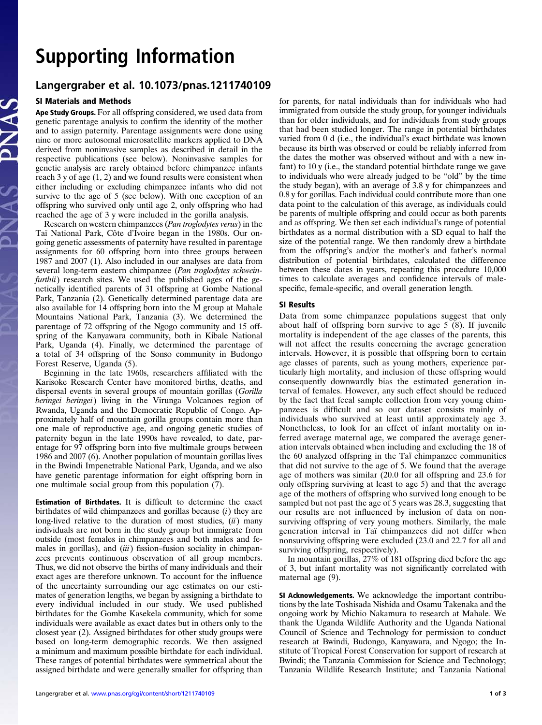# Supporting Information

# Langergraber et al. 10.1073/pnas.1211740109

## SI Materials and Methods

Ape Study Groups. For all offspring considered, we used data from genetic parentage analysis to confirm the identity of the mother and to assign paternity. Parentage assignments were done using nine or more autosomal microsatellite markers applied to DNA derived from noninvasive samples as described in detail in the respective publications (see below). Noninvasive samples for genetic analysis are rarely obtained before chimpanzee infants reach 3 y of age (1, 2) and we found results were consistent when either including or excluding chimpanzee infants who did not survive to the age of 5 (see below). With one exception of an offspring who survived only until age 2, only offspring who had reached the age of 3 y were included in the gorilla analysis.

Research on western chimpanzees (Pan troglodytes verus) in the Taï National Park, Côte d'Ivoire began in the 1980s. Our ongoing genetic assessments of paternity have resulted in parentage assignments for 60 offspring born into three groups between 1987 and 2007 (1). Also included in our analyses are data from several long-term eastern chimpanzee (Pan troglodytes schweinfurthii) research sites. We used the published ages of the genetically identified parents of 31 offspring at Gombe National Park, Tanzania (2). Genetically determined parentage data are also available for 14 offspring born into the M group at Mahale Mountains National Park, Tanzania (3). We determined the parentage of 72 offspring of the Ngogo community and 15 offspring of the Kanyawara community, both in Kibale National Park, Uganda (4). Finally, we determined the parentage of a total of 34 offspring of the Sonso community in Budongo Forest Reserve, Uganda (5).

Beginning in the late 1960s, researchers affiliated with the Karisoke Research Center have monitored births, deaths, and dispersal events in several groups of mountain gorillas (Gorilla beringei beringei) living in the Virunga Volcanoes region of Rwanda, Uganda and the Democratic Republic of Congo. Approximately half of mountain gorilla groups contain more than one male of reproductive age, and ongoing genetic studies of paternity begun in the late 1990s have revealed, to date, parentage for 97 offspring born into five multimale groups between 1986 and 2007 (6). Another population of mountain gorillas lives in the Bwindi Impenetrable National Park, Uganda, and we also have genetic parentage information for eight offspring born in one multimale social group from this population (7).

Estimation of Birthdates. It is difficult to determine the exact birthdates of wild chimpanzees and gorillas because  $(i)$  they are long-lived relative to the duration of most studies,  $(ii)$  many individuals are not born in the study group but immigrate from outside (most females in chimpanzees and both males and females in gorillas), and (iii) fission–fusion sociality in chimpanzees prevents continuous observation of all group members. Thus, we did not observe the births of many individuals and their exact ages are therefore unknown. To account for the influence of the uncertainty surrounding our age estimates on our estimates of generation lengths, we began by assigning a birthdate to every individual included in our study. We used published birthdates for the Gombe Kasekela community, which for some individuals were available as exact dates but in others only to the closest year (2). Assigned birthdates for other study groups were based on long-term demographic records. We then assigned a minimum and maximum possible birthdate for each individual. These ranges of potential birthdates were symmetrical about the assigned birthdate and were generally smaller for offspring than for parents, for natal individuals than for individuals who had immigrated from outside the study group, for younger individuals than for older individuals, and for individuals from study groups that had been studied longer. The range in potential birthdates varied from 0 d (i.e., the individual's exact birthdate was known because its birth was observed or could be reliably inferred from the dates the mother was observed without and with a new infant) to 10 y (i.e., the standard potential birthdate range we gave to individuals who were already judged to be "old" by the time the study began), with an average of 3.8 y for chimpanzees and 0.8 y for gorillas. Each individual could contribute more than one data point to the calculation of this average, as individuals could be parents of multiple offspring and could occur as both parents and as offspring. We then set each individual's range of potential birthdates as a normal distribution with a SD equal to half the size of the potential range. We then randomly drew a birthdate from the offspring's and/or the mother's and father's normal distribution of potential birthdates, calculated the difference between these dates in years, repeating this procedure 10,000 times to calculate averages and confidence intervals of malespecific, female-specific, and overall generation length.

### SI Results

Data from some chimpanzee populations suggest that only about half of offspring born survive to age 5 (8). If juvenile mortality is independent of the age classes of the parents, this will not affect the results concerning the average generation intervals. However, it is possible that offspring born to certain age classes of parents, such as young mothers, experience particularly high mortality, and inclusion of these offspring would consequently downwardly bias the estimated generation interval of females. However, any such effect should be reduced by the fact that fecal sample collection from very young chimpanzees is difficult and so our dataset consists mainly of individuals who survived at least until approximately age 3. Nonetheless, to look for an effect of infant mortality on inferred average maternal age, we compared the average generation intervals obtained when including and excluding the 18 of the 60 analyzed offspring in the Taї chimpanzee communities that did not survive to the age of 5. We found that the average age of mothers was similar (20.0 for all offspring and 23.6 for only offspring surviving at least to age 5) and that the average age of the mothers of offspring who survived long enough to be sampled but not past the age of 5 years was 28.3, suggesting that our results are not influenced by inclusion of data on nonsurviving offspring of very young mothers. Similarly, the male generation interval in Taï chimpanzees did not differ when nonsurviving offspring were excluded (23.0 and 22.7 for all and surviving offspring, respectively).

In mountain gorillas, 27% of 181 offspring died before the age of 3, but infant mortality was not significantly correlated with maternal age  $(9)$ .

SI Acknowledgements. We acknowledge the important contributions by the late Toshisada Nishida and Osamu Takenaka and the ongoing work by Michio Nakamura to research at Mahale. We thank the Uganda Wildlife Authority and the Uganda National Council of Science and Technology for permission to conduct research at Bwindi, Budongo, Kanyawara, and Ngogo; the Institute of Tropical Forest Conservation for support of research at Bwindi; the Tanzania Commission for Science and Technology; Tanzania Wildlife Research Institute; and Tanzania National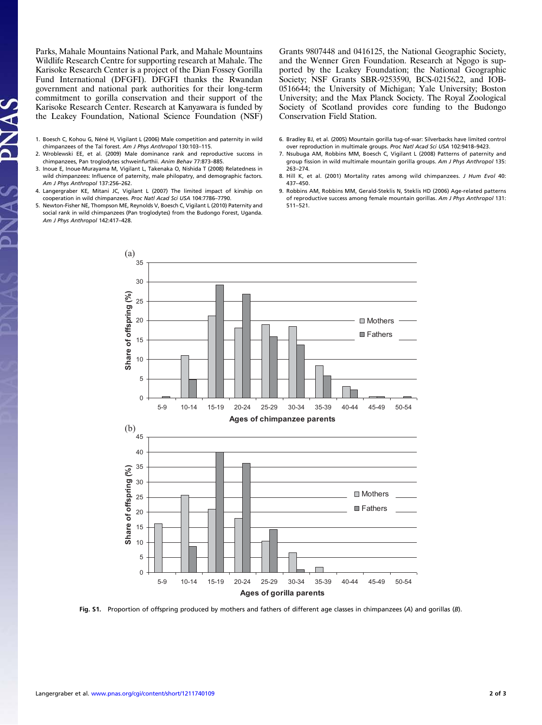Parks, Mahale Mountains National Park, and Mahale Mountains Wildlife Research Centre for supporting research at Mahale. The Karisoke Research Center is a project of the Dian Fossey Gorilla Fund International (DFGFI). DFGFI thanks the Rwandan government and national park authorities for their long-term commitment to gorilla conservation and their support of the Karisoke Research Center. Research at Kanyawara is funded by the Leakey Foundation, National Science Foundation (NSF)

1. Boesch C, Kohou G, Néné H, Vigilant L (2006) Male competition and paternity in wild chimpanzees of the Taï forest. Am J Phys Anthropol 130:103–115.

 $\mathbf{A}$ 

- 2. Wroblewski EE, et al. (2009) Male dominance rank and reproductive success in chimpanzees, Pan troglodytes schweinfurthii. Anim Behav 77:873–885.
- 3. Inoue E, Inoue-Murayama M, Vigilant L, Takenaka O, Nishida T (2008) Relatedness in wild chimpanzees: Influence of paternity, male philopatry, and demographic factors. Am J Phys Anthropol 137:256–262.
- 4. Langergraber KE, Mitani JC, Vigilant L (2007) The limited impact of kinship on cooperation in wild chimpanzees. Proc Natl Acad Sci USA 104:7786–7790.
- 5. Newton-Fisher NE, Thompson ME, Reynolds V, Boesch C, Vigilant L (2010) Paternity and social rank in wild chimpanzees (Pan troglodytes) from the Budongo Forest, Uganda. Am J Phys Anthropol 142:417–428.

Grants 9807448 and 0416125, the National Geographic Society, and the Wenner Gren Foundation. Research at Ngogo is supported by the Leakey Foundation; the National Geographic Society; NSF Grants SBR-9253590, BCS-0215622, and IOB-0516644; the University of Michigan; Yale University; Boston University; and the Max Planck Society. The Royal Zoological Society of Scotland provides core funding to the Budongo Conservation Field Station.

- 6. Bradley BJ, et al. (2005) Mountain gorilla tug-of-war: Silverbacks have limited control over reproduction in multimale groups. Proc Natl Acad Sci USA 102:9418–9423.
- 7. Nsubuga AM, Robbins MM, Boesch C, Vigilant L (2008) Patterns of paternity and group fission in wild multimale mountain gorilla groups. Am J Phys Anthropol 135: 263–274.
- 8. Hill K, et al. (2001) Mortality rates among wild chimpanzees. J Hum Evol 40: 437–450.
- 9. Robbins AM, Robbins MM, Gerald-Steklis N, Steklis HD (2006) Age-related patterns of reproductive success among female mountain gorillas. Am J Phys Anthropol 131: 511–521.



Fig. S1. Proportion of offspring produced by mothers and fathers of different age classes in chimpanzees (A) and gorillas (B).